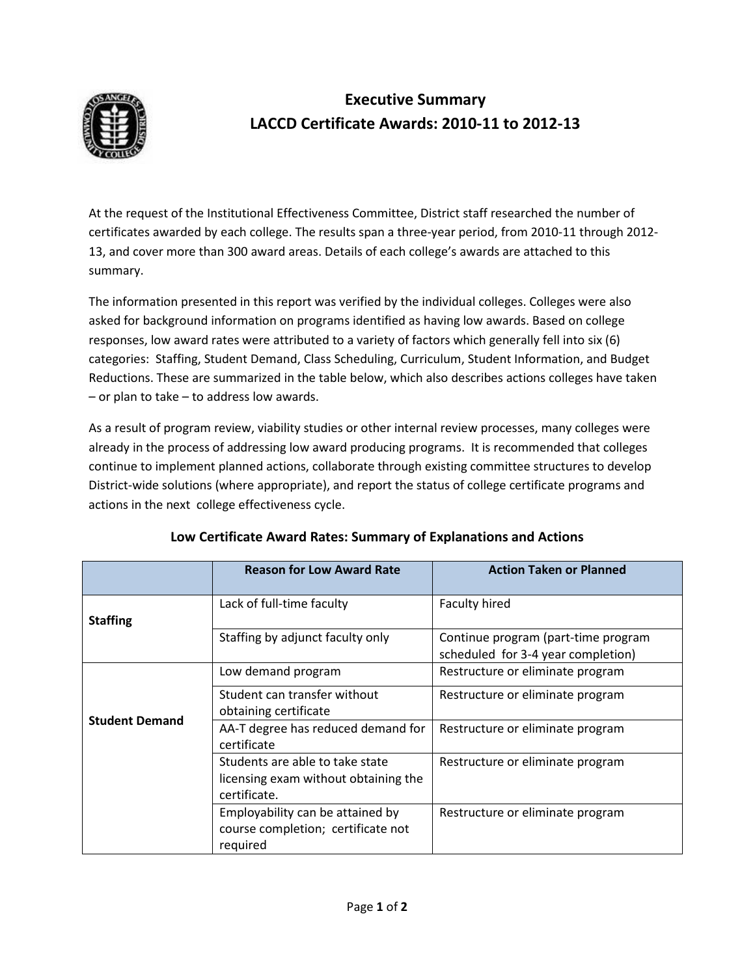

## **Executive Summary LACCD Certificate Awards: 2010-11 to 2012-13**

At the request of the Institutional Effectiveness Committee, District staff researched the number of certificates awarded by each college. The results span a three-year period, from 2010-11 through 2012- 13, and cover more than 300 award areas. Details of each college's awards are attached to this summary.

The information presented in this report was verified by the individual colleges. Colleges were also asked for background information on programs identified as having low awards. Based on college responses, low award rates were attributed to a variety of factors which generally fell into six (6) categories: Staffing, Student Demand, Class Scheduling, Curriculum, Student Information, and Budget Reductions. These are summarized in the table below, which also describes actions colleges have taken – or plan to take – to address low awards.

As a result of program review, viability studies or other internal review processes, many colleges were already in the process of addressing low award producing programs. It is recommended that colleges continue to implement planned actions, collaborate through existing committee structures to develop District-wide solutions (where appropriate), and report the status of college certificate programs and actions in the next college effectiveness cycle.

|                       | <b>Reason for Low Award Rate</b>                                                        | <b>Action Taken or Planned</b>                                            |
|-----------------------|-----------------------------------------------------------------------------------------|---------------------------------------------------------------------------|
| <b>Staffing</b>       | Lack of full-time faculty                                                               | Faculty hired                                                             |
|                       | Staffing by adjunct faculty only                                                        | Continue program (part-time program<br>scheduled for 3-4 year completion) |
| <b>Student Demand</b> | Low demand program                                                                      | Restructure or eliminate program                                          |
|                       | Student can transfer without<br>obtaining certificate                                   | Restructure or eliminate program                                          |
|                       | AA-T degree has reduced demand for<br>certificate                                       | Restructure or eliminate program                                          |
|                       | Students are able to take state<br>licensing exam without obtaining the<br>certificate. | Restructure or eliminate program                                          |
|                       | Employability can be attained by<br>course completion; certificate not<br>required      | Restructure or eliminate program                                          |

## **Low Certificate Award Rates: Summary of Explanations and Actions**